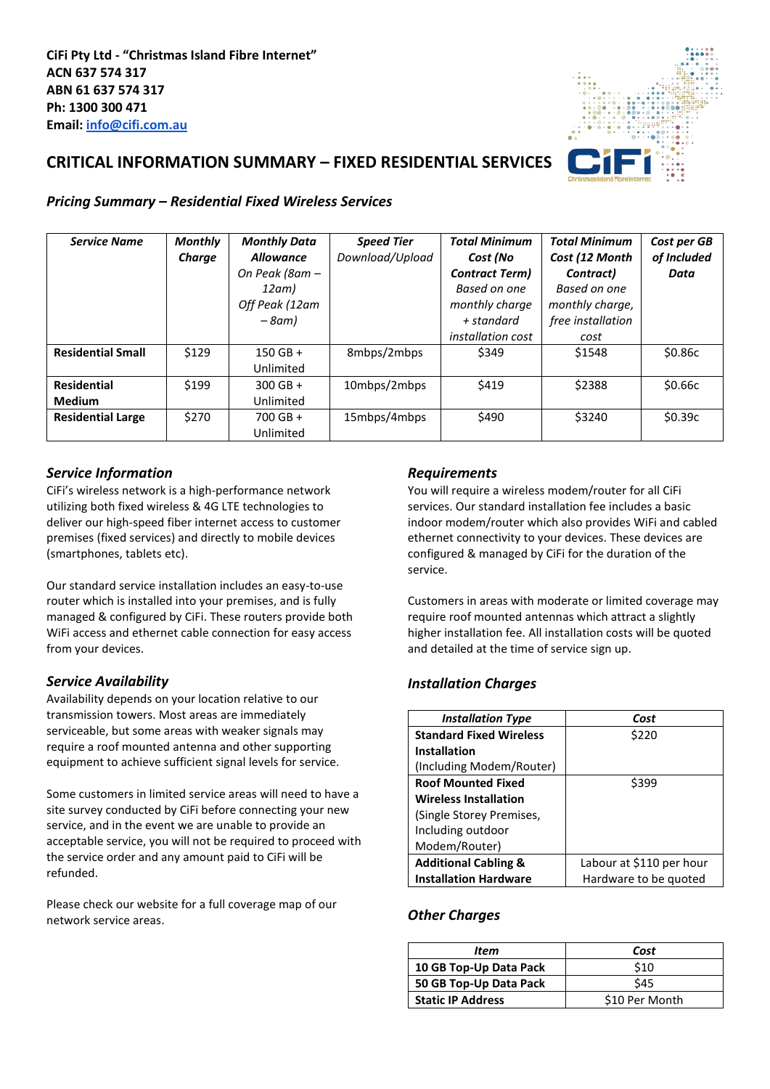

# **CRITICAL INFORMATION SUMMARY – FIXED RESIDENTIAL SERVICES**

## *Pricing Summary – Residential Fixed Wireless Services*

| <b>Service Name</b>      | <b>Monthly</b> | <b>Monthly Data</b> | <b>Speed Tier</b> | <b>Total Minimum</b>     | <b>Total Minimum</b> | Cost per GB |
|--------------------------|----------------|---------------------|-------------------|--------------------------|----------------------|-------------|
|                          | Charge         | <b>Allowance</b>    | Download/Upload   | Cost (No                 | Cost (12 Month       | of Included |
|                          |                | On Peak (8am -      |                   | <b>Contract Term)</b>    | Contract)            | Data        |
|                          |                | 12am)               |                   | Based on one             | Based on one         |             |
|                          |                | Off Peak (12am      |                   | monthly charge           | monthly charge,      |             |
|                          |                | $-8$ am)            |                   | + standard               | free installation    |             |
|                          |                |                     |                   | <i>installation cost</i> | cost                 |             |
| <b>Residential Small</b> | \$129          | $150$ GB +          | 8mbps/2mbps       | \$349                    | \$1548               | \$0.86c     |
|                          |                | Unlimited           |                   |                          |                      |             |
| <b>Residential</b>       | \$199          | $300$ GB +          | 10mbps/2mbps      | \$419                    | \$2388               | \$0.66c     |
| <b>Medium</b>            |                | Unlimited           |                   |                          |                      |             |
| <b>Residential Large</b> | \$270          | $700$ GB +          | 15mbps/4mbps      | \$490                    | \$3240               | \$0.39c     |
|                          |                | Unlimited           |                   |                          |                      |             |

## *Service Information*

CiFi's wireless network is a high-performance network utilizing both fixed wireless & 4G LTE technologies to deliver our high-speed fiber internet access to customer premises (fixed services) and directly to mobile devices (smartphones, tablets etc).

Our standard service installation includes an easy-to-use router which is installed into your premises, and is fully managed & configured by CiFi. These routers provide both WiFi access and ethernet cable connection for easy access from your devices.

## *Service Availability*

Availability depends on your location relative to our transmission towers. Most areas are immediately serviceable, but some areas with weaker signals may require a roof mounted antenna and other supporting equipment to achieve sufficient signal levels for service.

Some customers in limited service areas will need to have a site survey conducted by CiFi before connecting your new service, and in the event we are unable to provide an acceptable service, you will not be required to proceed with the service order and any amount paid to CiFi will be refunded.

Please check our website for a full coverage map of our network service areas.

## *Requirements*

You will require a wireless modem/router for all CiFi services. Our standard installation fee includes a basic indoor modem/router which also provides WiFi and cabled ethernet connectivity to your devices. These devices are configured & managed by CiFi for the duration of the service.

Customers in areas with moderate or limited coverage may require roof mounted antennas which attract a slightly higher installation fee. All installation costs will be quoted and detailed at the time of service sign up.

# *Installation Charges*

| <b>Installation Type</b>        | Cost                     |
|---------------------------------|--------------------------|
| <b>Standard Fixed Wireless</b>  | \$220                    |
| <b>Installation</b>             |                          |
| (Including Modem/Router)        |                          |
| <b>Roof Mounted Fixed</b>       | \$399                    |
| <b>Wireless Installation</b>    |                          |
| (Single Storey Premises,        |                          |
| Including outdoor               |                          |
| Modem/Router)                   |                          |
| <b>Additional Cabling &amp;</b> | Labour at \$110 per hour |
| <b>Installation Hardware</b>    | Hardware to be quoted    |

## *Other Charges*

| Item                     | Cost           |  |  |
|--------------------------|----------------|--|--|
| 10 GB Top-Up Data Pack   | \$10           |  |  |
| 50 GB Top-Up Data Pack   | \$45           |  |  |
| <b>Static IP Address</b> | \$10 Per Month |  |  |